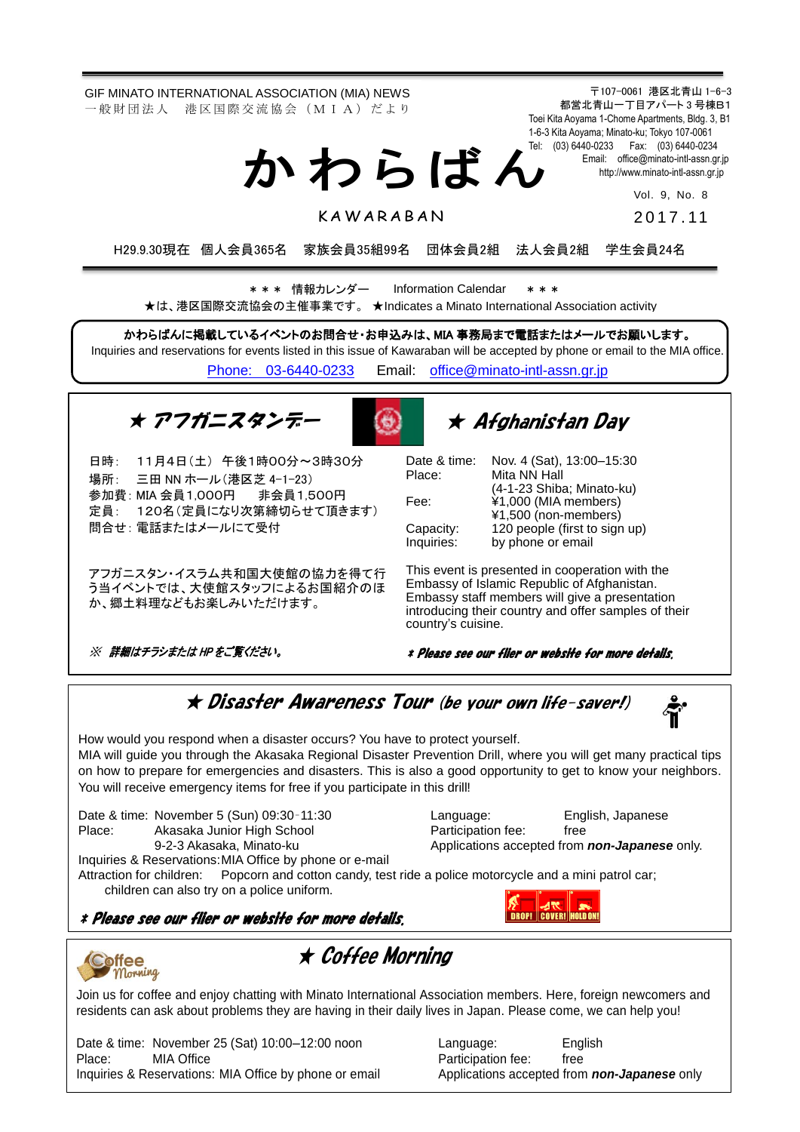GIF MINATO INTERNATIONAL ASSOCIATION (MIA) NEWS 一 般 財 団 法 人 港 区 国 際 交 流 協 会 (M I A) だ よ り

か わ ら ば ん

〒107-0061 港区北青山 1-6-3 都営北青山一丁目アパート 3 号棟B1 Toei Kita Aoyama 1-Chome Apartments, Bldg. 3, B1 1-6-3 Kita Aoyama; Minato-ku; Tokyo 107-0061 Tel: (03) 6440-0233 Fax: (03) 6440-0234 Email: [office@minato-intl-assn.gr.jp](mailto:office@minato-intl-assn.gr.jp) [http://www.minato-intl-assn.gr.jp](http://www.minato-intl-assn.gr.jp/)

> Vol. 9, No. 8 201 7 . 11

**KAWARABAN** 

H29.9.30現在 個人会員365名 家族会員35組99名 団体会員2組 法人会員2組 学生会員24名

\* \* \* 情報カレンダー Information Calendar \* \* \* ★は、港区国際交流協会の主催事業です。 ★Indicates a Minato International Association activity

かわらばんに掲載しているイベントのお問合せ・お申込みは、MIA 事務局まで電話またはメールでお願いします。 Inquiries and reservations for events listed in this issue of Kawaraban will be accepted by phone or email to the MIA office. [Phone: 03-6440-0233](mailto:Phone:%20%2003-6440-0233) Email: [office@minato-intl-assn.gr.jp](mailto:office@minato-intl-assn.gr.jp)

★ アフガニスタンデー



# ★ Afghanistan Day

| 日時: 11月4日(土)午後1時00分~3時30分                                 | Date & time: Nov. 4 (S  |                                       |
|-----------------------------------------------------------|-------------------------|---------------------------------------|
| 場所: 三田 NN ホール (港区芝 4-1-23)                                | Place:                  | Mita NN                               |
| 参加費: MIA 会員1,000円 非会員1,500円<br>定員: 120名(定員になり次第締切らせて頂きます) | Fee:                    | $(4-1-23S)$<br>¥1,000 (l<br>¥1,500 (r |
| 問合せ: 電話またはメールにて受付                                         | Capacity:<br>Inquiries: | 120 peop<br>by phone                  |

 う当イベントでは、大使館スタッフによるお国紹介のほ アフガニスタン・イスラム共和国大使館の協力を得て行 か、郷土料理などもお楽しみいただけます。

※ 詳細はチラシまたは HP をご覧ください。

at), 13:00-15:30 Hall Shiba; Minato-ku) MIA members) 10n-members) ble (first to sign up) e or email

This event is presented in cooperation with the Embassy of Islamic Republic of Afghanistan. Embassy staff members will give a presentation introducing their country and offer samples of their country's cuisine.

#### \* Please see our flier or website for more details.

★ Disaster Awareness Tour (be your own life-saver!)

How would you respond when a disaster occurs? You have to protect yourself. MIA will guide you through the Akasaka Regional Disaster Prevention Drill, where you will get many practical tips on how to prepare for emergencies and disasters. This is also a good opportunity to get to know your neighbors. You will receive emergency items for free if you participate in this drill!

Date & time: November 5 (Sun) 09:30-11:30 Language: English, Japanese<br>Place: Akasaka Junior High School Participation fee: free Place: Akasaka Junior High School **Participation fee:** free

9-2-3 Akasaka, Minato-ku **Applications accepted from** *non-Japanese* only.

Inquiries & Reservations:MIA Office by phone or e-mail Attraction for children: Popcorn and cotton candy, test ride a police motorcycle and a mini patrol car;

children can also try on a police uniform.

\* Please see our flier or website for more details.





★ Coffee Morning

Join us for coffee and enjoy chatting with Minato International Association members. Here, foreign newcomers and residents can ask about problems they are having in their daily lives in Japan. Please come, we can help you!

Date & time: November 25 (Sat) 10:00–12:00 noon Language: English<br>Place: MIA Office MIA Charles Raticipation fee: free Place: MIA Office **Participation fee:** free Inquiries & Reservations: MIA Office by phone or email Applications accepted from *non-Japanese* only